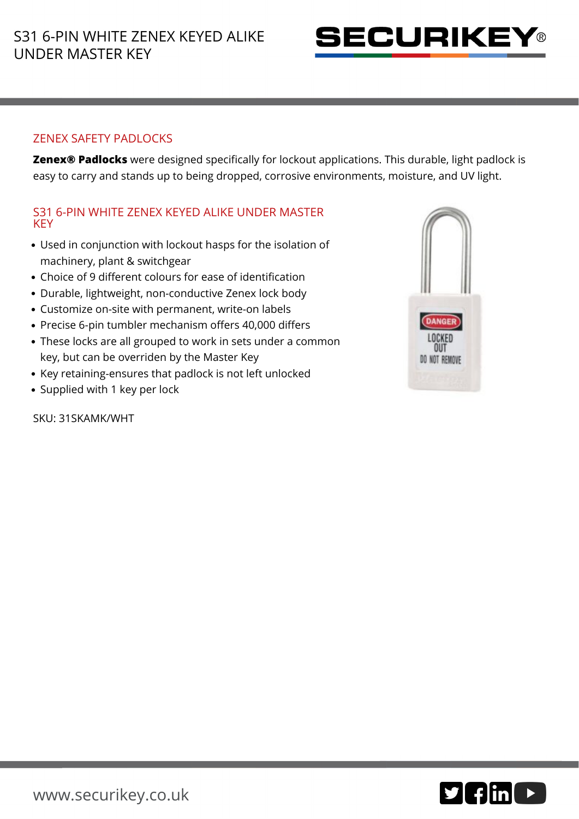

## ZENEX SAFETY PADLOCKS

**Zenex® Padlocks** were designed specifically for lockout applications. This durable, light padlock is easy to carry and stands up to being dropped, corrosive environments, moisture, and UV light.

## S31 6-PIN WHITE ZENEX KEYED ALIKE UNDER MASTER **KEY**

- Used in conjunction with lockout hasps for the isolation of machinery, plant & switchgear
- Choice of 9 different colours for ease of identification
- Durable, lightweight, non-conductive Zenex lock body
- Customize on-site with permanent, write-on labels
- Precise 6-pin tumbler mechanism offers 40,000 differs
- These locks are all grouped to work in sets under a common key, but can be overriden by the Master Key
- Key retaining-ensures that padlock is not left unlocked
- Supplied with 1 key per lock

SKU: 31SKAMK/WHT



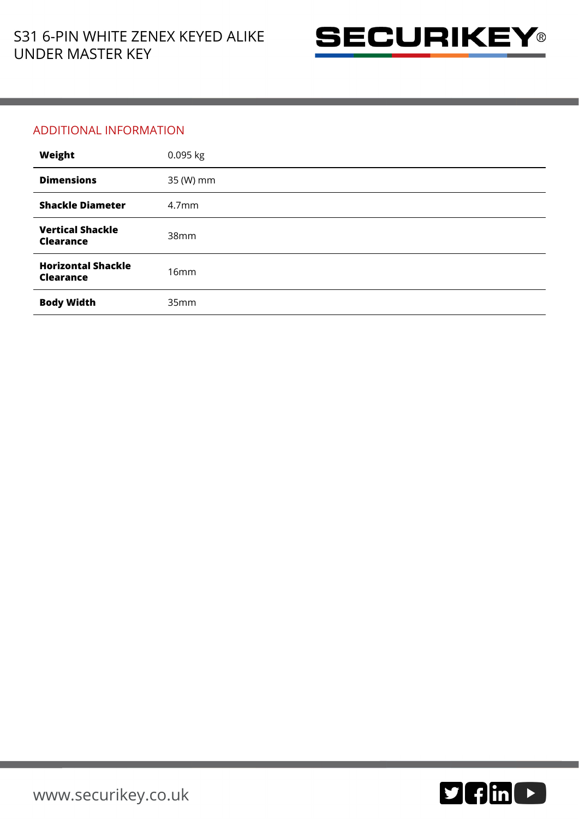

## ADDITIONAL INFORMATION

| Weight                                        | 0.095 kg          |
|-----------------------------------------------|-------------------|
| <b>Dimensions</b>                             | 35 (W) mm         |
| <b>Shackle Diameter</b>                       | 4.7 <sub>mm</sub> |
| <b>Vertical Shackle</b><br><b>Clearance</b>   | 38 <sub>mm</sub>  |
| <b>Horizontal Shackle</b><br><b>Clearance</b> | 16mm              |
| <b>Body Width</b>                             | 35mm              |

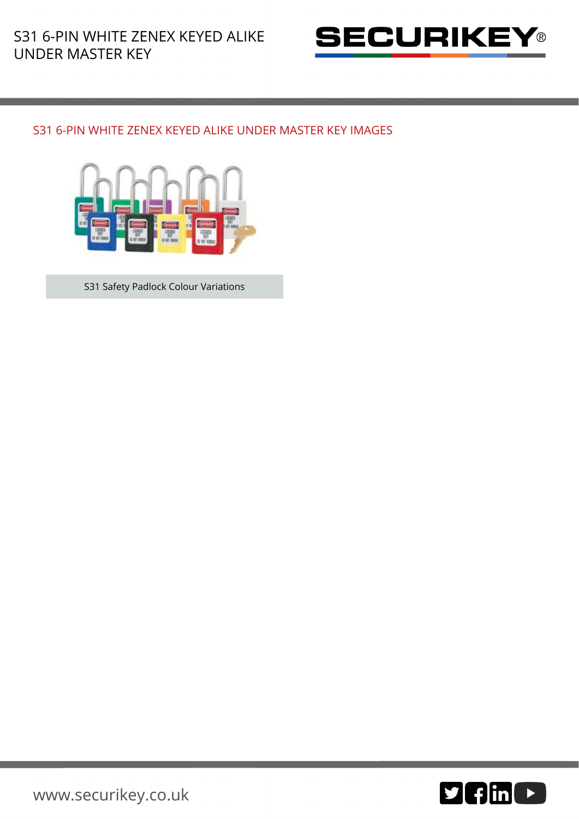

## S31 6-PIN WHITE ZENEX KEYED ALIKE UNDER MASTER KEY IMAGES



S31 Safety Padlock Colour Variations